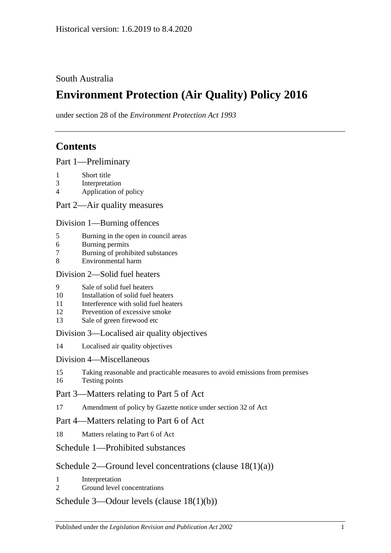### South Australia

# **Environment Protection (Air Quality) Policy 2016**

under section 28 of the *Environment Protection Act 1993*

# **Contents**

Part [1—Preliminary](#page-1-0)

- 1 [Short title](#page-1-1)
- 3 [Interpretation](#page-1-2)
- 4 [Application of policy](#page-3-0)

Part [2—Air quality measures](#page-4-0)

#### Division [1—Burning offences](#page-4-1)

- 5 [Burning in the open in council areas](#page-4-2)
- 6 [Burning permits](#page-5-0)
- 7 [Burning of prohibited substances](#page-7-0)
- 8 [Environmental harm](#page-7-1)

#### Division [2—Solid fuel heaters](#page-7-2)

- 9 [Sale of solid fuel heaters](#page-7-3)
- 10 [Installation of solid fuel heaters](#page-7-4)
- 11 [Interference with solid fuel heaters](#page-8-0)
- 12 [Prevention of excessive smoke](#page-8-1)
- 13 [Sale of green firewood etc](#page-8-2)

#### Division [3—Localised air quality objectives](#page-9-0)

14 [Localised air quality objectives](#page-9-1)

#### Division [4—Miscellaneous](#page-10-0)

- 15 [Taking reasonable and practicable measures to avoid emissions from premises](#page-10-1)
- 16 [Testing points](#page-10-2)

#### Part [3—Matters relating to Part 5 of Act](#page-10-3)

17 [Amendment of policy by Gazette notice under section](#page-10-4) 32 of Act

#### Part [4—Matters relating to Part 6 of Act](#page-11-0)

18 [Matters relating to Part 6 of Act](#page-11-1)

#### Schedule [1—Prohibited substances](#page-12-0)

#### Schedule [2—Ground level concentrations \(clause](#page-13-0) [18\(1\)\(a\)\)](#page-13-0)

- 1 [Interpretation](#page-13-1)
- 2 [Ground level concentrations](#page-13-2)

#### Schedule [3—Odour levels \(clause](#page-20-0) [18\(1\)\(b\)\)](#page-20-0)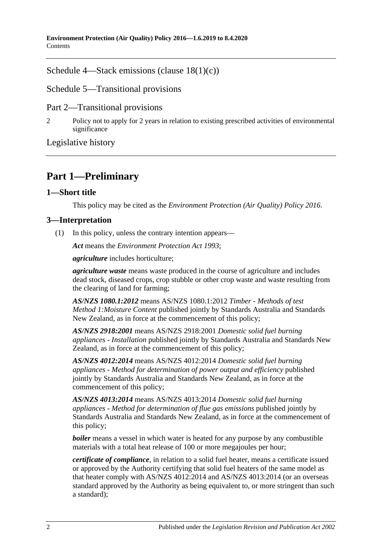Schedule [4—Stack emissions \(clause](#page-20-1) [18\(1\)\(c\)\)](#page-20-1)

Schedule [5—Transitional provisions](#page-22-0)

Part 2—Transitional provisions

2 [Policy not to apply for 2 years in relation to existing prescribed activities of environmental](#page-22-1)  [significance](#page-22-1)

[Legislative history](#page-23-0)

# <span id="page-1-0"></span>**Part 1—Preliminary**

#### <span id="page-1-1"></span>**1—Short title**

This policy may be cited as the *[Environment Protection \(Air Quality\) Policy](http://www.legislation.sa.gov.au/index.aspx?action=legref&type=subordleg&legtitle=Environment%20Protection%20(Air%20Quality)%20Policy%202016) 2016*.

#### <span id="page-1-2"></span>**3—Interpretation**

(1) In this policy, unless the contrary intention appears—

*Act* means the *[Environment Protection Act](http://www.legislation.sa.gov.au/index.aspx?action=legref&type=act&legtitle=Environment%20Protection%20Act%201993) 1993*;

*agriculture* includes horticulture;

*agriculture waste* means waste produced in the course of agriculture and includes dead stock, diseased crops, crop stubble or other crop waste and waste resulting from the clearing of land for farming;

*AS/NZS 1080.1:2012* means AS/NZS 1080.1:2012 *Timber - Methods of test Method 1:Moisture Content* published jointly by Standards Australia and Standards New Zealand, as in force at the commencement of this policy;

*AS/NZS 2918:2001* means AS/NZS 2918:2001 *Domestic solid fuel burning appliances - Installation* published jointly by Standards Australia and Standards New Zealand, as in force at the commencement of this policy;

*AS/NZS 4012:2014* means AS/NZS 4012:2014 *Domestic solid fuel burning appliances - Method for determination of power output and efficiency* published jointly by Standards Australia and Standards New Zealand, as in force at the commencement of this policy;

*AS/NZS 4013:2014* means AS/NZS 4013:2014 *Domestic solid fuel burning appliances - Method for determination of flue gas emissions* published jointly by Standards Australia and Standards New Zealand, as in force at the commencement of this policy;

*boiler* means a vessel in which water is heated for any purpose by any combustible materials with a total heat release of 100 or more megajoules per hour;

*certificate of compliance*, in relation to a solid fuel heater, means a certificate issued or approved by the Authority certifying that solid fuel heaters of the same model as that heater comply with AS/NZS 4012:2014 and AS/NZS 4013:2014 (or an overseas standard approved by the Authority as being equivalent to, or more stringent than such a standard);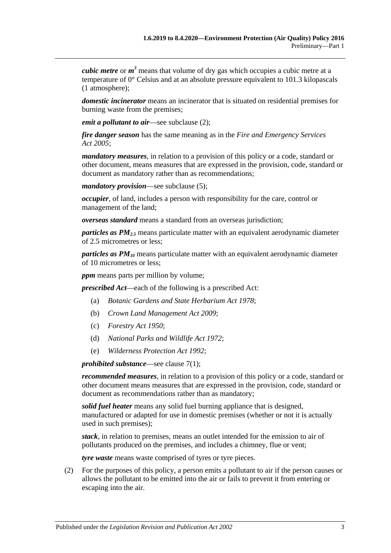*cubic metre* or *m <sup>3</sup>* means that volume of dry gas which occupies a cubic metre at a temperature of 0° Celsius and at an absolute pressure equivalent to 101.3 kilopascals (1 atmosphere);

*domestic incinerator* means an incinerator that is situated on residential premises for burning waste from the premises;

*emit a pollutant to air*—see [subclause](#page-2-0) (2);

*fire danger season* has the same meaning as in the *[Fire and Emergency Services](http://www.legislation.sa.gov.au/index.aspx?action=legref&type=act&legtitle=Fire%20and%20Emergency%20Services%20Act%202005)  Act [2005](http://www.legislation.sa.gov.au/index.aspx?action=legref&type=act&legtitle=Fire%20and%20Emergency%20Services%20Act%202005)*;

*mandatory measures*, in relation to a provision of this policy or a code, standard or other document, means measures that are expressed in the provision, code, standard or document as mandatory rather than as recommendations;

*mandatory provision*—see [subclause](#page-3-1) (5);

*occupier*, of land, includes a person with responsibility for the care, control or management of the land;

*overseas standard* means a standard from an overseas jurisdiction;

*particles as PM2.5* means particulate matter with an equivalent aerodynamic diameter of 2.5 micrometres or less;

*particles as PM10* means particulate matter with an equivalent aerodynamic diameter of 10 micrometres or less;

*ppm* means parts per million by volume;

*prescribed Act*—each of the following is a prescribed Act:

- (a) *[Botanic Gardens and State Herbarium Act](http://www.legislation.sa.gov.au/index.aspx?action=legref&type=act&legtitle=Botanic%20Gardens%20and%20State%20Herbarium%20Act%201978) 1978*;
- (b) *[Crown Land Management Act](http://www.legislation.sa.gov.au/index.aspx?action=legref&type=act&legtitle=Crown%20Land%20Management%20Act%202009) 2009*;
- (c) *[Forestry Act](http://www.legislation.sa.gov.au/index.aspx?action=legref&type=act&legtitle=Forestry%20Act%201950) 1950*;
- (d) *[National Parks and Wildlife Act](http://www.legislation.sa.gov.au/index.aspx?action=legref&type=act&legtitle=National%20Parks%20and%20Wildlife%20Act%201972) 1972*;
- (e) *[Wilderness Protection Act](http://www.legislation.sa.gov.au/index.aspx?action=legref&type=act&legtitle=Wilderness%20Protection%20Act%201992) 1992*;

*prohibited substance*—see [clause](#page-7-5) 7(1);

*recommended measures*, in relation to a provision of this policy or a code, standard or other document means measures that are expressed in the provision, code, standard or document as recommendations rather than as mandatory;

*solid fuel heater* means any solid fuel burning appliance that is designed, manufactured or adapted for use in domestic premises (whether or not it is actually used in such premises);

*stack*, in relation to premises, means an outlet intended for the emission to air of pollutants produced on the premises, and includes a chimney, flue or vent;

*tyre waste* means waste comprised of tyres or tyre pieces.

<span id="page-2-0"></span>(2) For the purposes of this policy, a person emits a pollutant to air if the person causes or allows the pollutant to be emitted into the air or fails to prevent it from entering or escaping into the air.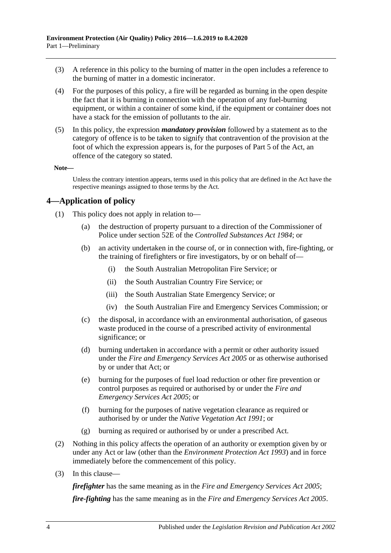- (3) A reference in this policy to the burning of matter in the open includes a reference to the burning of matter in a domestic incinerator.
- (4) For the purposes of this policy, a fire will be regarded as burning in the open despite the fact that it is burning in connection with the operation of any fuel-burning equipment, or within a container of some kind, if the equipment or container does not have a stack for the emission of pollutants to the air.
- <span id="page-3-1"></span>(5) In this policy, the expression *mandatory provision* followed by a statement as to the category of offence is to be taken to signify that contravention of the provision at the foot of which the expression appears is, for the purposes of Part 5 of the Act, an offence of the category so stated.

#### **Note—**

Unless the contrary intention appears, terms used in this policy that are defined in the Act have the respective meanings assigned to those terms by the Act.

#### <span id="page-3-0"></span>**4—Application of policy**

- (1) This policy does not apply in relation to—
	- (a) the destruction of property pursuant to a direction of the Commissioner of Police under section 52E of the *[Controlled Substances Act](http://www.legislation.sa.gov.au/index.aspx?action=legref&type=act&legtitle=Controlled%20Substances%20Act%201984) 1984*; or
	- (b) an activity undertaken in the course of, or in connection with, fire-fighting, or the training of firefighters or fire investigators, by or on behalf of—
		- (i) the South Australian Metropolitan Fire Service; or
		- (ii) the South Australian Country Fire Service; or
		- (iii) the South Australian State Emergency Service; or
		- (iv) the South Australian Fire and Emergency Services Commission; or
	- (c) the disposal, in accordance with an environmental authorisation, of gaseous waste produced in the course of a prescribed activity of environmental significance; or
	- (d) burning undertaken in accordance with a permit or other authority issued under the *[Fire and Emergency Services Act](http://www.legislation.sa.gov.au/index.aspx?action=legref&type=act&legtitle=Fire%20and%20Emergency%20Services%20Act%202005) 2005* or as otherwise authorised by or under that Act; or
	- (e) burning for the purposes of fuel load reduction or other fire prevention or control purposes as required or authorised by or under the *[Fire and](http://www.legislation.sa.gov.au/index.aspx?action=legref&type=act&legtitle=Fire%20and%20Emergency%20Services%20Act%202005)  [Emergency Services Act](http://www.legislation.sa.gov.au/index.aspx?action=legref&type=act&legtitle=Fire%20and%20Emergency%20Services%20Act%202005) 2005*; or
	- (f) burning for the purposes of native vegetation clearance as required or authorised by or under the *[Native Vegetation Act](http://www.legislation.sa.gov.au/index.aspx?action=legref&type=act&legtitle=Native%20Vegetation%20Act%201991) 1991*; or
	- (g) burning as required or authorised by or under a prescribed Act.
- (2) Nothing in this policy affects the operation of an authority or exemption given by or under any Act or law (other than the *[Environment Protection Act](http://www.legislation.sa.gov.au/index.aspx?action=legref&type=act&legtitle=Environment%20Protection%20Act%201993) 1993*) and in force immediately before the commencement of this policy.
- (3) In this clause—

*firefighter* has the same meaning as in the *[Fire and Emergency Services Act](http://www.legislation.sa.gov.au/index.aspx?action=legref&type=act&legtitle=Fire%20and%20Emergency%20Services%20Act%202005) 2005*;

*fire-fighting* has the same meaning as in the *[Fire and Emergency Services Act](http://www.legislation.sa.gov.au/index.aspx?action=legref&type=act&legtitle=Fire%20and%20Emergency%20Services%20Act%202005) 2005*.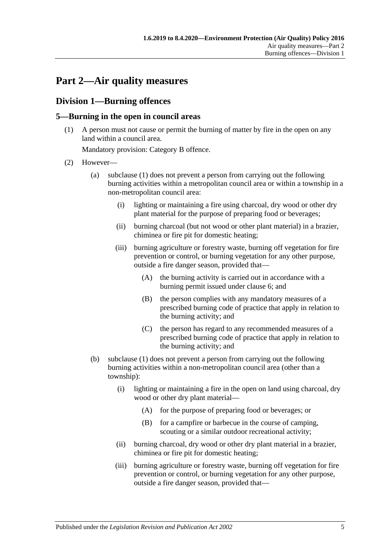# <span id="page-4-0"></span>**Part 2—Air quality measures**

## <span id="page-4-1"></span>**Division 1—Burning offences**

#### <span id="page-4-3"></span><span id="page-4-2"></span>**5—Burning in the open in council areas**

(1) A person must not cause or permit the burning of matter by fire in the open on any land within a council area.

Mandatory provision: Category B offence.

- <span id="page-4-5"></span><span id="page-4-4"></span>(2) However—
	- (a) [subclause](#page-4-3) (1) does not prevent a person from carrying out the following burning activities within a metropolitan council area or within a township in a non-metropolitan council area:
		- (i) lighting or maintaining a fire using charcoal, dry wood or other dry plant material for the purpose of preparing food or beverages;
		- (ii) burning charcoal (but not wood or other plant material) in a brazier, chiminea or fire pit for domestic heating;
		- (iii) burning agriculture or forestry waste, burning off vegetation for fire prevention or control, or burning vegetation for any other purpose, outside a fire danger season, provided that—
			- (A) the burning activity is carried out in accordance with a burning permit issued under [clause](#page-5-0) 6; and
			- (B) the person complies with any mandatory measures of a prescribed burning code of practice that apply in relation to the burning activity; and
			- (C) the person has regard to any recommended measures of a prescribed burning code of practice that apply in relation to the burning activity; and
	- (b) [subclause](#page-4-3) (1) does not prevent a person from carrying out the following burning activities within a non-metropolitan council area (other than a township):
		- (i) lighting or maintaining a fire in the open on land using charcoal, dry wood or other dry plant material—
			- (A) for the purpose of preparing food or beverages; or
			- (B) for a campfire or barbecue in the course of camping, scouting or a similar outdoor recreational activity;
		- (ii) burning charcoal, dry wood or other dry plant material in a brazier, chiminea or fire pit for domestic heating;
		- (iii) burning agriculture or forestry waste, burning off vegetation for fire prevention or control, or burning vegetation for any other purpose, outside a fire danger season, provided that—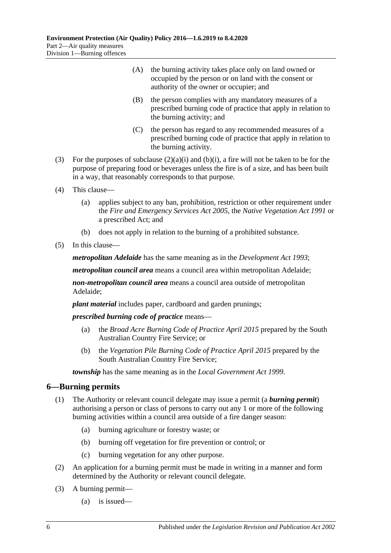- (A) the burning activity takes place only on land owned or occupied by the person or on land with the consent or authority of the owner or occupier; and
- (B) the person complies with any mandatory measures of a prescribed burning code of practice that apply in relation to the burning activity; and
- (C) the person has regard to any recommended measures of a prescribed burning code of practice that apply in relation to the burning activity.
- (3) For the purposes of [subclause](#page-4-4)  $(2)(a)(i)$  and  $(b)(i)$ , a fire will not be taken to be for the purpose of preparing food or beverages unless the fire is of a size, and has been built in a way, that reasonably corresponds to that purpose.
- (4) This clause—
	- (a) applies subject to any ban, prohibition, restriction or other requirement under the *[Fire and Emergency Services Act](http://www.legislation.sa.gov.au/index.aspx?action=legref&type=act&legtitle=Fire%20and%20Emergency%20Services%20Act%202005) 2005*, the *[Native Vegetation Act](http://www.legislation.sa.gov.au/index.aspx?action=legref&type=act&legtitle=Native%20Vegetation%20Act%201991) 1991* or a prescribed Act; and
	- (b) does not apply in relation to the burning of a prohibited substance.
- (5) In this clause—

*metropolitan Adelaide* has the same meaning as in the *[Development Act](http://www.legislation.sa.gov.au/index.aspx?action=legref&type=act&legtitle=Development%20Act%201993) 1993*;

*metropolitan council area* means a council area within metropolitan Adelaide;

*non-metropolitan council area* means a council area outside of metropolitan Adelaide;

*plant material* includes paper, cardboard and garden prunings;

*prescribed burning code of practice* means—

- (a) the *Broad Acre Burning Code of Practice April 2015* prepared by the South Australian Country Fire Service; or
- (b) the *Vegetation Pile Burning Code of Practice April 2015* prepared by the South Australian Country Fire Service;

*township* has the same meaning as in the *[Local Government Act](http://www.legislation.sa.gov.au/index.aspx?action=legref&type=act&legtitle=Local%20Government%20Act%201999) 1999*.

#### <span id="page-5-0"></span>**6—Burning permits**

- (1) The Authority or relevant council delegate may issue a permit (a *burning permit*) authorising a person or class of persons to carry out any 1 or more of the following burning activities within a council area outside of a fire danger season:
	- (a) burning agriculture or forestry waste; or
	- (b) burning off vegetation for fire prevention or control; or
	- (c) burning vegetation for any other purpose.
- (2) An application for a burning permit must be made in writing in a manner and form determined by the Authority or relevant council delegate.
- <span id="page-5-1"></span>(3) A burning permit—
	- (a) is issued—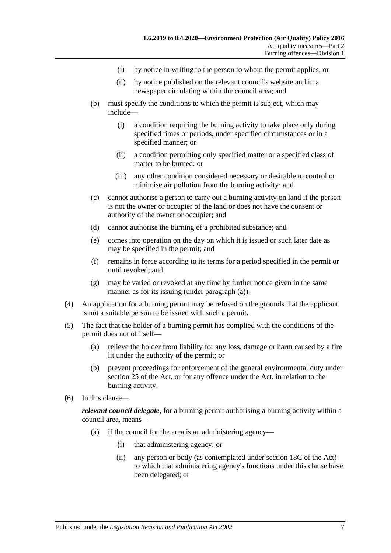- (i) by notice in writing to the person to whom the permit applies; or
- (ii) by notice published on the relevant council's website and in a newspaper circulating within the council area; and
- (b) must specify the conditions to which the permit is subject, which may include—
	- (i) a condition requiring the burning activity to take place only during specified times or periods, under specified circumstances or in a specified manner; or
	- (ii) a condition permitting only specified matter or a specified class of matter to be burned; or
	- (iii) any other condition considered necessary or desirable to control or minimise air pollution from the burning activity; and
- (c) cannot authorise a person to carry out a burning activity on land if the person is not the owner or occupier of the land or does not have the consent or authority of the owner or occupier; and
- (d) cannot authorise the burning of a prohibited substance; and
- (e) comes into operation on the day on which it is issued or such later date as may be specified in the permit; and
- (f) remains in force according to its terms for a period specified in the permit or until revoked; and
- (g) may be varied or revoked at any time by further notice given in the same manner as for its issuing (under [paragraph](#page-5-1) (a)).
- (4) An application for a burning permit may be refused on the grounds that the applicant is not a suitable person to be issued with such a permit.
- (5) The fact that the holder of a burning permit has complied with the conditions of the permit does not of itself—
	- (a) relieve the holder from liability for any loss, damage or harm caused by a fire lit under the authority of the permit; or
	- (b) prevent proceedings for enforcement of the general environmental duty under section 25 of the Act, or for any offence under the Act, in relation to the burning activity.
- (6) In this clause—

*relevant council delegate*, for a burning permit authorising a burning activity within a council area, means—

- (a) if the council for the area is an administering agency—
	- (i) that administering agency; or
	- (ii) any person or body (as contemplated under section 18C of the Act) to which that administering agency's functions under this clause have been delegated; or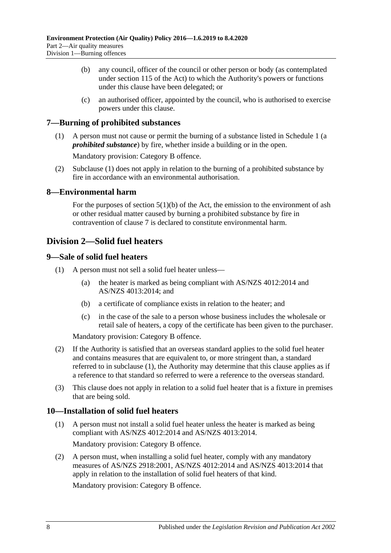- (b) any council, officer of the council or other person or body (as contemplated under section 115 of the Act) to which the Authority's powers or functions under this clause have been delegated; or
- (c) an authorised officer, appointed by the council, who is authorised to exercise powers under this clause.

#### <span id="page-7-5"></span><span id="page-7-0"></span>**7—Burning of prohibited substances**

(1) A person must not cause or permit the burning of a substance listed in [Schedule](#page-12-0) 1 (a *prohibited substance*) by fire, whether inside a building or in the open.

Mandatory provision: Category B offence.

(2) [Subclause](#page-7-5) (1) does not apply in relation to the burning of a prohibited substance by fire in accordance with an environmental authorisation.

#### <span id="page-7-1"></span>**8—Environmental harm**

For the purposes of section  $5(1)(b)$  of the Act, the emission to the environment of ash or other residual matter caused by burning a prohibited substance by fire in contravention of [clause](#page-7-0) 7 is declared to constitute environmental harm.

#### <span id="page-7-2"></span>**Division 2—Solid fuel heaters**

#### <span id="page-7-6"></span><span id="page-7-3"></span>**9—Sale of solid fuel heaters**

- <span id="page-7-7"></span>(1) A person must not sell a solid fuel heater unless—
	- (a) the heater is marked as being compliant with AS/NZS 4012:2014 and AS/NZS 4013:2014; and
	- (b) a certificate of compliance exists in relation to the heater; and
	- (c) in the case of the sale to a person whose business includes the wholesale or retail sale of heaters, a copy of the certificate has been given to the purchaser.

Mandatory provision: Category B offence.

- (2) If the Authority is satisfied that an overseas standard applies to the solid fuel heater and contains measures that are equivalent to, or more stringent than, a standard referred to in [subclause](#page-7-6) (1), the Authority may determine that this clause applies as if a reference to that standard so referred to were a reference to the overseas standard.
- (3) This clause does not apply in relation to a solid fuel heater that is a fixture in premises that are being sold.

#### <span id="page-7-4"></span>**10—Installation of solid fuel heaters**

- (1) A person must not install a solid fuel heater unless the heater is marked as being compliant with AS/NZS 4012:2014 and AS/NZS 4013:2014. Mandatory provision: Category B offence.
- (2) A person must, when installing a solid fuel heater, comply with any mandatory measures of AS/NZS 2918:2001, AS/NZS 4012:2014 and AS/NZS 4013:2014 that apply in relation to the installation of solid fuel heaters of that kind.

Mandatory provision: Category B offence.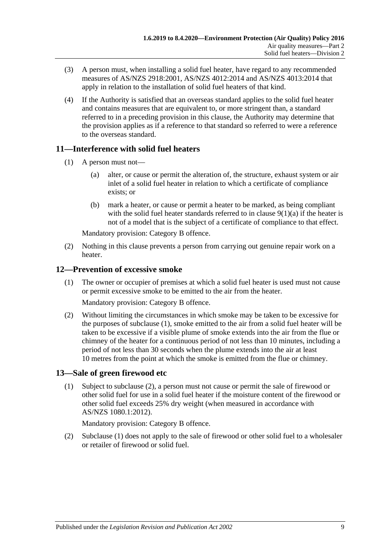- (3) A person must, when installing a solid fuel heater, have regard to any recommended measures of AS/NZS 2918:2001, AS/NZS 4012:2014 and AS/NZS 4013:2014 that apply in relation to the installation of solid fuel heaters of that kind.
- (4) If the Authority is satisfied that an overseas standard applies to the solid fuel heater and contains measures that are equivalent to, or more stringent than, a standard referred to in a preceding provision in this clause, the Authority may determine that the provision applies as if a reference to that standard so referred to were a reference to the overseas standard.

### <span id="page-8-0"></span>**11—Interference with solid fuel heaters**

- (1) A person must not—
	- (a) alter, or cause or permit the alteration of, the structure, exhaust system or air inlet of a solid fuel heater in relation to which a certificate of compliance exists; or
	- (b) mark a heater, or cause or permit a heater to be marked, as being compliant with the solid fuel heater standards referred to in clause  $9(1)(a)$  if the heater is not of a model that is the subject of a certificate of compliance to that effect.

Mandatory provision: Category B offence.

(2) Nothing in this clause prevents a person from carrying out genuine repair work on a heater.

#### <span id="page-8-3"></span><span id="page-8-1"></span>**12—Prevention of excessive smoke**

(1) The owner or occupier of premises at which a solid fuel heater is used must not cause or permit excessive smoke to be emitted to the air from the heater.

Mandatory provision: Category B offence.

(2) Without limiting the circumstances in which smoke may be taken to be excessive for the purposes of [subclause](#page-8-3) (1), smoke emitted to the air from a solid fuel heater will be taken to be excessive if a visible plume of smoke extends into the air from the flue or chimney of the heater for a continuous period of not less than 10 minutes, including a period of not less than 30 seconds when the plume extends into the air at least 10 metres from the point at which the smoke is emitted from the flue or chimney.

#### <span id="page-8-5"></span><span id="page-8-2"></span>**13—Sale of green firewood etc**

(1) Subject to [subclause](#page-8-4) (2), a person must not cause or permit the sale of firewood or other solid fuel for use in a solid fuel heater if the moisture content of the firewood or other solid fuel exceeds 25% dry weight (when measured in accordance with AS/NZS 1080.1:2012).

Mandatory provision: Category B offence.

<span id="page-8-4"></span>(2) [Subclause](#page-8-5) (1) does not apply to the sale of firewood or other solid fuel to a wholesaler or retailer of firewood or solid fuel.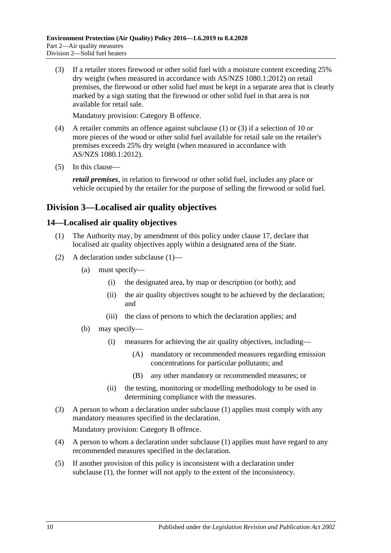<span id="page-9-2"></span>(3) If a retailer stores firewood or other solid fuel with a moisture content exceeding 25% dry weight (when measured in accordance with AS/NZS 1080.1:2012) on retail premises, the firewood or other solid fuel must be kept in a separate area that is clearly marked by a sign stating that the firewood or other solid fuel in that area is not available for retail sale.

Mandatory provision: Category B offence.

- (4) A retailer commits an offence against [subclause](#page-8-5) (1) or [\(3\)](#page-9-2) if a selection of 10 or more pieces of the wood or other solid fuel available for retail sale on the retailer's premises exceeds 25% dry weight (when measured in accordance with AS/NZS 1080.1:2012).
- (5) In this clause—

*retail premises*, in relation to firewood or other solid fuel, includes any place or vehicle occupied by the retailer for the purpose of selling the firewood or solid fuel.

### <span id="page-9-0"></span>**Division 3—Localised air quality objectives**

#### <span id="page-9-3"></span><span id="page-9-1"></span>**14—Localised air quality objectives**

- (1) The Authority may, by amendment of this policy under [clause](#page-10-4) 17, declare that localised air quality objectives apply within a designated area of the State.
- (2) A declaration under [subclause](#page-9-3) (1)—
	- (a) must specify—
		- (i) the designated area, by map or description (or both); and
		- (ii) the air quality objectives sought to be achieved by the declaration; and
		- (iii) the class of persons to which the declaration applies; and
	- (b) may specify—
		- (i) measures for achieving the air quality objectives, including—
			- (A) mandatory or recommended measures regarding emission concentrations for particular pollutants; and
			- (B) any other mandatory or recommended measures; or
		- (ii) the testing, monitoring or modelling methodology to be used in determining compliance with the measures.
- (3) A person to whom a declaration under [subclause](#page-9-3) (1) applies must comply with any mandatory measures specified in the declaration.

Mandatory provision: Category B offence.

- (4) A person to whom a declaration under [subclause](#page-9-3) (1) applies must have regard to any recommended measures specified in the declaration.
- (5) If another provision of this policy is inconsistent with a declaration under [subclause](#page-9-3) (1), the former will not apply to the extent of the inconsistency.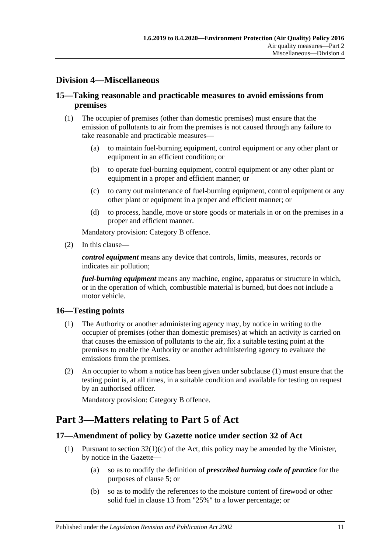### <span id="page-10-0"></span>**Division 4—Miscellaneous**

#### <span id="page-10-1"></span>**15—Taking reasonable and practicable measures to avoid emissions from premises**

- (1) The occupier of premises (other than domestic premises) must ensure that the emission of pollutants to air from the premises is not caused through any failure to take reasonable and practicable measures—
	- (a) to maintain fuel-burning equipment, control equipment or any other plant or equipment in an efficient condition; or
	- (b) to operate fuel-burning equipment, control equipment or any other plant or equipment in a proper and efficient manner; or
	- (c) to carry out maintenance of fuel-burning equipment, control equipment or any other plant or equipment in a proper and efficient manner; or
	- (d) to process, handle, move or store goods or materials in or on the premises in a proper and efficient manner.

Mandatory provision: Category B offence.

(2) In this clause—

*control equipment* means any device that controls, limits, measures, records or indicates air pollution;

*fuel-burning equipment* means any machine, engine, apparatus or structure in which, or in the operation of which, combustible material is burned, but does not include a motor vehicle.

#### <span id="page-10-5"></span><span id="page-10-2"></span>**16—Testing points**

- (1) The Authority or another administering agency may, by notice in writing to the occupier of premises (other than domestic premises) at which an activity is carried on that causes the emission of pollutants to the air, fix a suitable testing point at the premises to enable the Authority or another administering agency to evaluate the emissions from the premises.
- (2) An occupier to whom a notice has been given under [subclause](#page-10-5) (1) must ensure that the testing point is, at all times, in a suitable condition and available for testing on request by an authorised officer.

Mandatory provision: Category B offence.

## <span id="page-10-3"></span>**Part 3—Matters relating to Part 5 of Act**

#### <span id="page-10-4"></span>**17—Amendment of policy by Gazette notice under section 32 of Act**

- <span id="page-10-6"></span>(1) Pursuant to section  $32(1)(c)$  of the Act, this policy may be amended by the Minister, by notice in the Gazette—
	- (a) so as to modify the definition of *prescribed burning code of practice* for the purposes of [clause](#page-4-2) 5; or
	- (b) so as to modify the references to the moisture content of firewood or other solid fuel in [clause](#page-8-2) 13 from "25%" to a lower percentage; or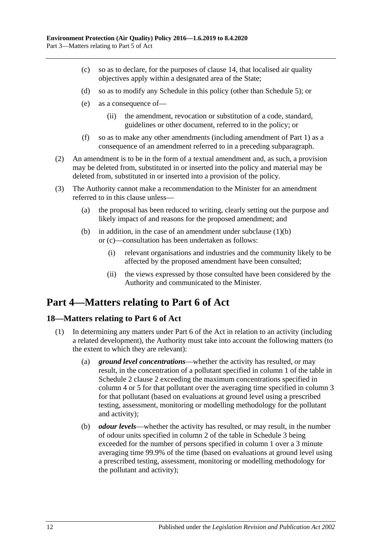- <span id="page-11-2"></span>(c) so as to declare, for the purposes of [clause](#page-9-1) 14, that localised air quality objectives apply within a designated area of the State;
- (d) so as to modify any Schedule in this policy (other than [Schedule](#page-22-0) 5); or
- (e) as a consequence of—
	- (ii) the amendment, revocation or substitution of a code, standard, guidelines or other document, referred to in the policy; or
- (f) so as to make any other amendments (including amendment of [Part](#page-1-0) 1) as a consequence of an amendment referred to in a preceding subparagraph.
- (2) An amendment is to be in the form of a textual amendment and, as such, a provision may be deleted from, substituted in or inserted into the policy and material may be deleted from, substituted in or inserted into a provision of the policy.
- (3) The Authority cannot make a recommendation to the Minister for an amendment referred to in this clause unless—
	- (a) the proposal has been reduced to writing, clearly setting out the purpose and likely impact of and reasons for the proposed amendment; and
	- (b) in addition, in the case of an amendment under [subclause](#page-10-6)  $(1)(b)$ or [\(c\)—](#page-11-2)consultation has been undertaken as follows:
		- (i) relevant organisations and industries and the community likely to be affected by the proposed amendment have been consulted;
		- (ii) the views expressed by those consulted have been considered by the Authority and communicated to the Minister.

# <span id="page-11-0"></span>**Part 4—Matters relating to Part 6 of Act**

#### <span id="page-11-1"></span>**18—Matters relating to Part 6 of Act**

- <span id="page-11-4"></span><span id="page-11-3"></span>(1) In determining any matters under Part 6 of the Act in relation to an activity (including a related development), the Authority must take into account the following matters (to the extent to which they are relevant):
	- (a) *ground level concentrations*—whether the activity has resulted, or may result, in the concentration of a pollutant specified in column 1 of the table in [Schedule](#page-13-2) 2 clause 2 exceeding the maximum concentrations specified in column 4 or 5 for that pollutant over the averaging time specified in column 3 for that pollutant (based on evaluations at ground level using a prescribed testing, assessment, monitoring or modelling methodology for the pollutant and activity);
	- (b) *odour levels*—whether the activity has resulted, or may result, in the number of odour units specified in column 2 of the table in [Schedule](#page-20-0) 3 being exceeded for the number of persons specified in column 1 over a 3 minute averaging time 99.9% of the time (based on evaluations at ground level using a prescribed testing, assessment, monitoring or modelling methodology for the pollutant and activity);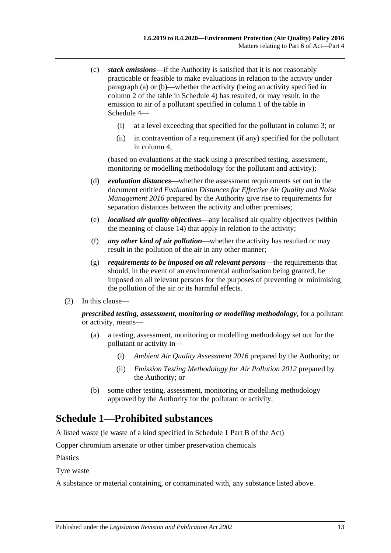- <span id="page-12-1"></span>(c) *stack emissions*—if the Authority is satisfied that it is not reasonably practicable or feasible to make evaluations in relation to the activity under [paragraph](#page-11-3) (a) or [\(b\)—](#page-11-4)whether the activity (being an activity specified in column 2 of the table in [Schedule](#page-20-1) 4) has resulted, or may result, in the emission to air of a pollutant specified in column 1 of the table in [Schedule](#page-20-1) 4—
	- (i) at a level exceeding that specified for the pollutant in column 3; or
	- (ii) in contravention of a requirement (if any) specified for the pollutant in column 4,

(based on evaluations at the stack using a prescribed testing, assessment, monitoring or modelling methodology for the pollutant and activity);

- (d) *evaluation distances*—whether the assessment requirements set out in the document entitled *Evaluation Distances for Effective Air Quality and Noise Management 2016* prepared by the Authority give rise to requirements for separation distances between the activity and other premises;
- (e) *localised air quality objectives*—any localised air quality objectives (within the meaning of [clause](#page-9-1) 14) that apply in relation to the activity;
- (f) *any other kind of air pollution*—whether the activity has resulted or may result in the pollution of the air in any other manner;
- (g) *requirements to be imposed on all relevant persons*—the requirements that should, in the event of an environmental authorisation being granted, be imposed on all relevant persons for the purposes of preventing or minimising the pollution of the air or its harmful effects.
- (2) In this clause—

*prescribed testing, assessment, monitoring or modelling methodology*, for a pollutant or activity, means—

- (a) a testing, assessment, monitoring or modelling methodology set out for the pollutant or activity in—
	- (i) *Ambient Air Quality Assessment 2016* prepared by the Authority; or
	- (ii) *Emission Testing Methodology for Air Pollution 2012* prepared by the Authority; or
- (b) some other testing, assessment, monitoring or modelling methodology approved by the Authority for the pollutant or activity.

## <span id="page-12-0"></span>**Schedule 1—Prohibited substances**

A listed waste (ie waste of a kind specified in Schedule 1 Part B of the Act)

Copper chromium arsenate or other timber preservation chemicals

Plastics

Tyre waste

A substance or material containing, or contaminated with, any substance listed above.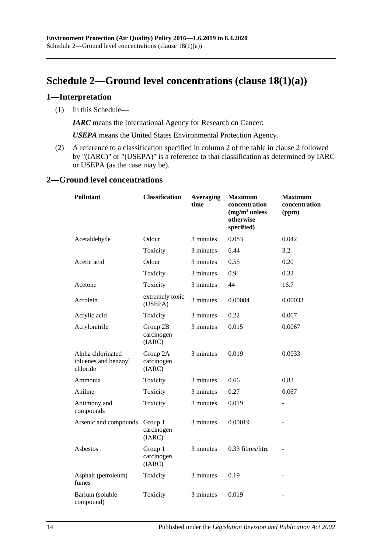# <span id="page-13-0"></span>**Schedule 2—Ground level concentrations (clause [18\(1\)\(a\)\)](#page-11-3)**

#### <span id="page-13-1"></span>**1—Interpretation**

(1) In this Schedule—

*IARC* means the International Agency for Research on Cancer;

*USEPA* means the United States Environmental Protection Agency.

(2) A reference to a classification specified in column 2 of the table in [clause](#page-13-2) 2 followed by "(IARC)" or "(USEPA)" is a reference to that classification as determined by IARC or USEPA (as the case may be).

#### <span id="page-13-2"></span>**2—Ground level concentrations**

| <b>Classification</b><br><b>Pollutant</b>             |                                  | <b>Averaging</b><br>time | <b>Maximum</b><br>concentration<br>$(mg/m3$ unless<br>otherwise<br>specified) | <b>Maximum</b><br>concentration<br>(ppm) |  |
|-------------------------------------------------------|----------------------------------|--------------------------|-------------------------------------------------------------------------------|------------------------------------------|--|
| Acetaldehyde                                          | Odour                            | 3 minutes                | 0.083                                                                         | 0.042                                    |  |
|                                                       | Toxicity                         | 3 minutes                | 6.44                                                                          | 3.2                                      |  |
| Acetic acid                                           | Odour                            | 3 minutes                | 0.55                                                                          | 0.20                                     |  |
|                                                       | Toxicity                         | 3 minutes                | 0.9                                                                           | 0.32                                     |  |
| Acetone                                               | Toxicity                         | 3 minutes                | 44                                                                            | 16.7                                     |  |
| Acrolein                                              | extremely toxic<br>(USEPA)       | 3 minutes                | 0.00084                                                                       | 0.00033                                  |  |
| Acrylic acid                                          | Toxicity                         | 3 minutes                | 0.22                                                                          | 0.067                                    |  |
| Acrylonitrile                                         | Group 2B<br>carcinogen<br>(IARC) | 3 minutes                | 0.015                                                                         | 0.0067                                   |  |
| Alpha chlorinated<br>toluenes and benzoyl<br>chloride | Group 2A<br>carcinogen<br>(IARC) | 3 minutes                | 0.019                                                                         | 0.0033                                   |  |
| Ammonia                                               | Toxicity                         | 3 minutes                | 0.66                                                                          | 0.83                                     |  |
| Aniline                                               | Toxicity                         | 3 minutes                | 0.27                                                                          | 0.067                                    |  |
| Antimony and<br>compounds                             | Toxicity                         | 3 minutes                | 0.019                                                                         |                                          |  |
| Arsenic and compounds                                 | Group 1<br>carcinogen<br>(IARC)  | 3 minutes                | 0.00019                                                                       |                                          |  |
| Asbestos                                              | Group 1<br>carcinogen<br>(IARC)  | 3 minutes                | 0.33 fibres/litre                                                             |                                          |  |
| Asphalt (petroleum)<br>fumes                          | Toxicity                         | 3 minutes                | 0.19                                                                          |                                          |  |
| Barium (soluble<br>compound)                          | Toxicity                         | 3 minutes                | 0.019                                                                         |                                          |  |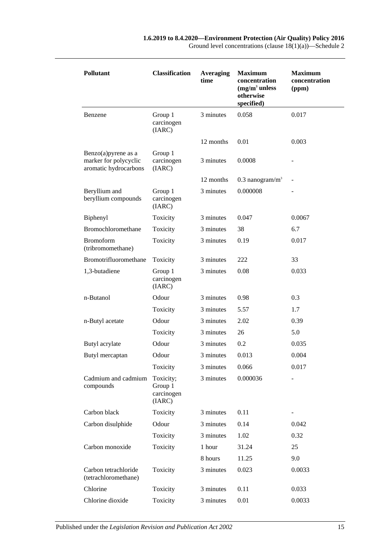| <b>Pollutant</b>                                                          | <b>Classification</b>                        | <b>Averaging</b><br>time | <b>Maximum</b><br>concentration<br>$(mg/m3$ unless<br>otherwise<br>specified) | <b>Maximum</b><br>concentration<br>(ppm) |
|---------------------------------------------------------------------------|----------------------------------------------|--------------------------|-------------------------------------------------------------------------------|------------------------------------------|
| Benzene                                                                   | Group 1<br>carcinogen<br>(IARC)              | 3 minutes                | 0.058                                                                         | 0.017                                    |
|                                                                           |                                              | 12 months                | 0.01                                                                          | 0.003                                    |
| Benzo $(a)$ pyrene as a<br>marker for polycyclic<br>aromatic hydrocarbons | Group 1<br>carcinogen<br>(IARC)              | 3 minutes                | 0.0008                                                                        |                                          |
|                                                                           |                                              | 12 months                | $0.3$ nanogram/m <sup>3</sup>                                                 |                                          |
| Beryllium and<br>beryllium compounds                                      | Group 1<br>carcinogen<br>(IARC)              | 3 minutes                | 0.000008                                                                      |                                          |
| Biphenyl                                                                  | Toxicity                                     | 3 minutes                | 0.047                                                                         | 0.0067                                   |
| Bromochloromethane                                                        | Toxicity                                     | 3 minutes                | 38                                                                            | 6.7                                      |
| <b>Bromoform</b><br>(tribromomethane)                                     | Toxicity                                     | 3 minutes                | 0.19                                                                          | 0.017                                    |
| Bromotrifluoromethane                                                     | Toxicity                                     | 3 minutes                | 222                                                                           | 33                                       |
| 1,3-butadiene                                                             | Group 1<br>carcinogen<br>(IARC)              | 3 minutes                | 0.08                                                                          | 0.033                                    |
| n-Butanol                                                                 | Odour                                        | 3 minutes                | 0.98                                                                          | 0.3                                      |
|                                                                           | Toxicity                                     | 3 minutes                | 5.57                                                                          | 1.7                                      |
| n-Butyl acetate                                                           | Odour                                        | 3 minutes                | 2.02                                                                          | 0.39                                     |
|                                                                           | Toxicity                                     | 3 minutes                | 26                                                                            | 5.0                                      |
| Butyl acrylate                                                            | Odour                                        | 3 minutes                | 0.2                                                                           | 0.035                                    |
| Butyl mercaptan                                                           | Odour                                        | 3 minutes                | 0.013                                                                         | 0.004                                    |
|                                                                           | Toxicity                                     | 3 minutes                | 0.066                                                                         | 0.017                                    |
| Cadmium and cadmium<br>compounds                                          | Toxicity;<br>Group 1<br>carcinogen<br>(IARC) | 3 minutes                | 0.000036                                                                      |                                          |
| Carbon black                                                              | Toxicity                                     | 3 minutes                | 0.11                                                                          |                                          |
| Carbon disulphide                                                         | Odour                                        | 3 minutes                | 0.14                                                                          | 0.042                                    |
|                                                                           | Toxicity                                     | 3 minutes                | 1.02                                                                          | 0.32                                     |
| Carbon monoxide                                                           | Toxicity                                     | 1 hour                   | 31.24                                                                         | 25                                       |
|                                                                           |                                              | 8 hours                  | 11.25                                                                         | 9.0                                      |
| Carbon tetrachloride<br>(tetrachloromethane)                              | Toxicity                                     | 3 minutes                | 0.023                                                                         | 0.0033                                   |
| Chlorine                                                                  | Toxicity                                     | 3 minutes                | 0.11                                                                          | 0.033                                    |
| Chlorine dioxide                                                          | Toxicity                                     | 3 minutes                | 0.01                                                                          | 0.0033                                   |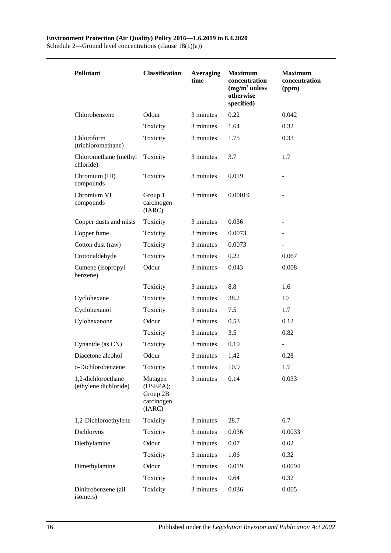#### **Environment Protection (Air Quality) Policy 2016—1.6.2019 to 8.4.2020**

Schedule 2—Ground level concentrations (clause 18(1)(a))

| Pollutant                                   | <b>Classification</b>                                   | <b>Averaging</b><br>time | <b>Maximum</b><br>concentration<br>$(mg/m3$ unless<br>otherwise<br>specified) | <b>Maximum</b><br>concentration<br>(ppm) |
|---------------------------------------------|---------------------------------------------------------|--------------------------|-------------------------------------------------------------------------------|------------------------------------------|
| Chlorobenzene                               | Odour                                                   | 3 minutes                | 0.22                                                                          | 0.042                                    |
|                                             | Toxicity                                                | 3 minutes                | 1.64                                                                          | 0.32                                     |
| Chloroform<br>(trichloromethane)            | Toxicity                                                | 3 minutes                | 1.75                                                                          | 0.33                                     |
| Chloromethane (methyl<br>chloride)          | Toxicity                                                | 3 minutes                | 3.7                                                                           | 1.7                                      |
| Chromium (III)<br>compounds                 | Toxicity                                                | 3 minutes                | 0.019                                                                         |                                          |
| Chromium VI<br>compounds                    | Group 1<br>carcinogen<br>(IARC)                         | 3 minutes                | 0.00019                                                                       |                                          |
| Copper dusts and mists                      | Toxicity                                                | 3 minutes                | 0.036                                                                         |                                          |
| Copper fume                                 | Toxicity                                                | 3 minutes                | 0.0073                                                                        |                                          |
| Cotton dust (raw)                           | Toxicity                                                | 3 minutes                | 0.0073                                                                        |                                          |
| Crotonaldehyde                              | Toxicity                                                | 3 minutes                | 0.22                                                                          | 0.067                                    |
| Cumene (isopropyl<br>benzene)               | Odour                                                   | 3 minutes                | 0.043                                                                         | 0.008                                    |
|                                             | Toxicity                                                | 3 minutes                | 8.8                                                                           | 1.6                                      |
| Cyclohexane                                 | Toxicity                                                | 3 minutes                | 38.2                                                                          | 10                                       |
| Cyclohexanol                                | Toxicity                                                | 3 minutes                | 7.5                                                                           | 1.7                                      |
| Cylohexanone                                | Odour                                                   | 3 minutes                | 0.53                                                                          | 0.12                                     |
|                                             | Toxicity                                                | 3 minutes                | 3.5                                                                           | 0.82                                     |
| Cynanide (as CN)                            | Toxicity                                                | 3 minutes                | 0.19                                                                          |                                          |
| Diacetone alcohol                           | Odour                                                   | 3 minutes                | 1.42                                                                          | 0.28                                     |
| o-Dichlorobenzene                           | Toxicity                                                | 3 minutes                | 10.9                                                                          | 1.7                                      |
| 1,2-dichloroethane<br>(ethylene dichloride) | Mutagen<br>(USEPA);<br>Group 2B<br>carcinogen<br>(IARC) | 3 minutes                | 0.14                                                                          | 0.033                                    |
| 1,2-Dichloroethylene                        | Toxicity                                                | 3 minutes                | 28.7                                                                          | 6.7                                      |
| Dichlorvos                                  | Toxicity                                                | 3 minutes                | 0.036                                                                         | 0.0033                                   |
| Diethylamine                                | Odour                                                   | 3 minutes                | 0.07                                                                          | 0.02                                     |
|                                             | Toxicity                                                | 3 minutes                | 1.06                                                                          | 0.32                                     |
| Dimethylamine                               | Odour                                                   | 3 minutes                | 0.019                                                                         | 0.0094                                   |
|                                             | Toxicity                                                | 3 minutes                | 0.64                                                                          | 0.32                                     |
| Dinitrobenzene (all<br>isomers)             | Toxicity                                                | 3 minutes                | 0.036                                                                         | 0.005                                    |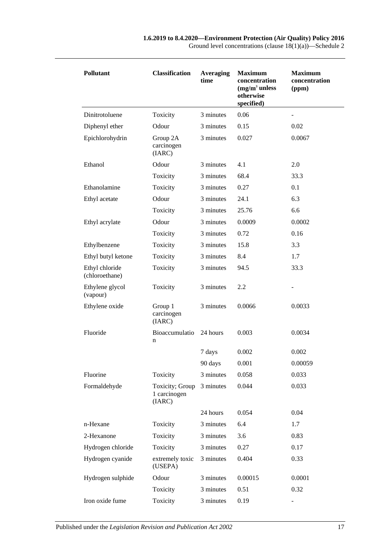| <b>Pollutant</b>                 | <b>Classification</b>                     | <b>Averaging</b><br>time | <b>Maximum</b><br>concentration<br>$(mg/m3$ unless<br>otherwise<br>specified) | <b>Maximum</b><br>concentration<br>(ppm) |
|----------------------------------|-------------------------------------------|--------------------------|-------------------------------------------------------------------------------|------------------------------------------|
| Dinitrotoluene                   | Toxicity                                  | 3 minutes                | 0.06                                                                          | -                                        |
| Diphenyl ether                   | Odour                                     | 3 minutes                | 0.15                                                                          | 0.02                                     |
| Epichlorohydrin                  | Group 2A<br>carcinogen<br>(IARC)          | 3 minutes                | 0.027                                                                         | 0.0067                                   |
| Ethanol                          | Odour                                     | 3 minutes                | 4.1                                                                           | 2.0                                      |
|                                  | Toxicity                                  | 3 minutes                | 68.4                                                                          | 33.3                                     |
| Ethanolamine                     | Toxicity                                  | 3 minutes                | 0.27                                                                          | 0.1                                      |
| Ethyl acetate                    | Odour                                     | 3 minutes                | 24.1                                                                          | 6.3                                      |
|                                  | Toxicity                                  | 3 minutes                | 25.76                                                                         | 6.6                                      |
| Ethyl acrylate                   | Odour                                     | 3 minutes                | 0.0009                                                                        | 0.0002                                   |
|                                  | Toxicity                                  | 3 minutes                | 0.72                                                                          | 0.16                                     |
| Ethylbenzene                     | Toxicity                                  | 3 minutes                | 15.8                                                                          | 3.3                                      |
| Ethyl butyl ketone               | Toxicity                                  | 3 minutes                | 8.4                                                                           | 1.7                                      |
| Ethyl chloride<br>(chloroethane) | Toxicity                                  | 3 minutes                | 94.5                                                                          | 33.3                                     |
| Ethylene glycol<br>(vapour)      | Toxicity                                  | 3 minutes                | 2.2                                                                           |                                          |
| Ethylene oxide                   | Group 1<br>carcinogen<br>(IARC)           | 3 minutes                | 0.0066                                                                        | 0.0033                                   |
| Fluoride                         | <b>Bioaccumulatio</b><br>n                | 24 hours                 | 0.003                                                                         | 0.0034                                   |
|                                  |                                           | 7 days                   | 0.002                                                                         | 0.002                                    |
|                                  |                                           | 90 days                  | 0.001                                                                         | 0.00059                                  |
| Fluorine                         | Toxicity                                  | 3 minutes                | 0.058                                                                         | 0.033                                    |
| Formaldehyde                     | Toxicity; Group<br>1 carcinogen<br>(IARC) | 3 minutes                | 0.044                                                                         | 0.033                                    |
|                                  |                                           | 24 hours                 | 0.054                                                                         | 0.04                                     |
| n-Hexane                         | Toxicity                                  | 3 minutes                | 6.4                                                                           | 1.7                                      |
| 2-Hexanone                       | Toxicity                                  | 3 minutes                | 3.6                                                                           | 0.83                                     |
| Hydrogen chloride                | Toxicity                                  | 3 minutes                | 0.27                                                                          | 0.17                                     |
| Hydrogen cyanide                 | extremely toxic<br>(USEPA)                | 3 minutes                | 0.404                                                                         | 0.33                                     |
| Hydrogen sulphide                | Odour                                     | 3 minutes                | 0.00015                                                                       | 0.0001                                   |
|                                  | Toxicity                                  | 3 minutes                | 0.51                                                                          | 0.32                                     |
| Iron oxide fume                  | Toxicity                                  | 3 minutes                | 0.19                                                                          |                                          |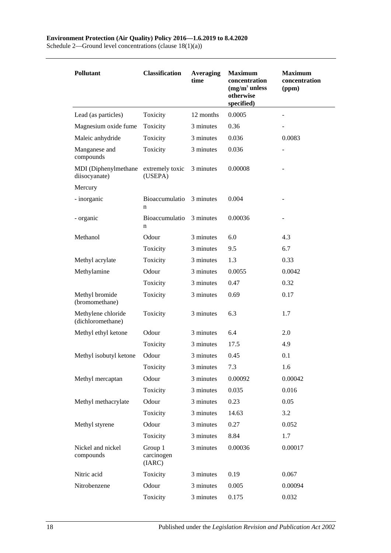Schedule 2—Ground level concentrations (clause 18(1)(a))

| <b>Pollutant</b>                        | <b>Classification</b>           | <b>Averaging</b><br>time | <b>Maximum</b><br>concentration<br>$(mg/m3$ unless<br>otherwise<br>specified) | <b>Maximum</b><br>concentration<br>(ppm) |
|-----------------------------------------|---------------------------------|--------------------------|-------------------------------------------------------------------------------|------------------------------------------|
| Lead (as particles)                     | Toxicity                        | 12 months                | 0.0005                                                                        |                                          |
| Magnesium oxide fume                    | Toxicity                        | 3 minutes                | 0.36                                                                          |                                          |
| Maleic anhydride                        | Toxicity                        | 3 minutes                | 0.036                                                                         | 0.0083                                   |
| Manganese and<br>compounds              | Toxicity                        | 3 minutes                | 0.036                                                                         |                                          |
| MDI (Diphenylmethane<br>diisocyanate)   | extremely toxic<br>(USEPA)      | 3 minutes                | 0.00008                                                                       |                                          |
| Mercury                                 |                                 |                          |                                                                               |                                          |
| - inorganic                             | Bioaccumulatio<br>n             | 3 minutes                | 0.004                                                                         |                                          |
| - organic                               | Bioaccumulatio<br>n             | 3 minutes                | 0.00036                                                                       |                                          |
| Methanol                                | Odour                           | 3 minutes                | 6.0                                                                           | 4.3                                      |
|                                         | Toxicity                        | 3 minutes                | 9.5                                                                           | 6.7                                      |
| Methyl acrylate                         | Toxicity                        | 3 minutes                | 1.3                                                                           | 0.33                                     |
| Methylamine                             | Odour                           | 3 minutes                | 0.0055                                                                        | 0.0042                                   |
|                                         | Toxicity                        | 3 minutes                | 0.47                                                                          | 0.32                                     |
| Methyl bromide<br>(bromomethane)        | Toxicity                        | 3 minutes                | 0.69                                                                          | 0.17                                     |
| Methylene chloride<br>(dichloromethane) | Toxicity                        | 3 minutes                | 6.3                                                                           | 1.7                                      |
| Methyl ethyl ketone                     | Odour                           | 3 minutes                | 6.4                                                                           | 2.0                                      |
|                                         | Toxicity                        | 3 minutes                | 17.5                                                                          | 4.9                                      |
| Methyl isobutyl ketone                  | Odour                           | 3 minutes                | 0.45                                                                          | 0.1                                      |
|                                         | Toxicity                        | 3 minutes                | 7.3                                                                           | 1.6                                      |
| Methyl mercaptan                        | Odour                           | 3 minutes                | 0.00092                                                                       | 0.00042                                  |
|                                         | Toxicity                        | 3 minutes                | 0.035                                                                         | 0.016                                    |
| Methyl methacrylate                     | Odour                           | 3 minutes                | 0.23                                                                          | 0.05                                     |
|                                         | Toxicity                        | 3 minutes                | 14.63                                                                         | 3.2                                      |
| Methyl styrene                          | Odour                           | 3 minutes                | 0.27                                                                          | 0.052                                    |
|                                         | Toxicity                        | 3 minutes                | 8.84                                                                          | 1.7                                      |
| Nickel and nickel<br>compounds          | Group 1<br>carcinogen<br>(IARC) | 3 minutes                | 0.00036                                                                       | 0.00017                                  |
| Nitric acid                             | Toxicity                        | 3 minutes                | 0.19                                                                          | 0.067                                    |
| Nitrobenzene                            | Odour                           | 3 minutes                | 0.005                                                                         | 0.00094                                  |
|                                         | Toxicity                        | 3 minutes                | 0.175                                                                         | 0.032                                    |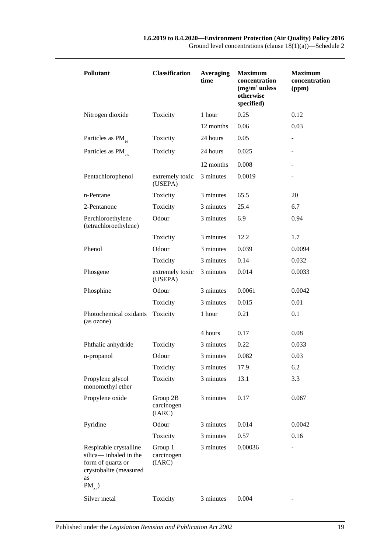| Pollutant                                                                                                           | <b>Classification</b>            | <b>Averaging</b><br>time | <b>Maximum</b><br>concentration<br>$(mg/m3$ unless<br>otherwise<br>specified) | <b>Maximum</b><br>concentration<br>(ppm) |
|---------------------------------------------------------------------------------------------------------------------|----------------------------------|--------------------------|-------------------------------------------------------------------------------|------------------------------------------|
| Nitrogen dioxide                                                                                                    | Toxicity                         | 1 hour                   | 0.25                                                                          | 0.12                                     |
|                                                                                                                     |                                  | 12 months                | 0.06                                                                          | 0.03                                     |
| Particles as PM                                                                                                     | Toxicity                         | 24 hours                 | 0.05                                                                          |                                          |
| Particles as PM <sub>25</sub>                                                                                       | Toxicity                         | 24 hours                 | 0.025                                                                         |                                          |
|                                                                                                                     |                                  | 12 months                | 0.008                                                                         |                                          |
| Pentachlorophenol                                                                                                   | extremely toxic<br>(USEPA)       | 3 minutes                | 0.0019                                                                        |                                          |
| n-Pentane                                                                                                           | Toxicity                         | 3 minutes                | 65.5                                                                          | 20                                       |
| 2-Pentanone                                                                                                         | Toxicity                         | 3 minutes                | 25.4                                                                          | 6.7                                      |
| Perchloroethylene<br>(tetrachloroethylene)                                                                          | Odour                            | 3 minutes                | 6.9                                                                           | 0.94                                     |
|                                                                                                                     | Toxicity                         | 3 minutes                | 12.2                                                                          | 1.7                                      |
| Phenol                                                                                                              | Odour                            | 3 minutes                | 0.039                                                                         | 0.0094                                   |
|                                                                                                                     | Toxicity                         | 3 minutes                | 0.14                                                                          | 0.032                                    |
| Phosgene                                                                                                            | extremely toxic<br>(USEPA)       | 3 minutes                | 0.014                                                                         | 0.0033                                   |
| Phosphine                                                                                                           | Odour                            | 3 minutes                | 0.0061                                                                        | 0.0042                                   |
|                                                                                                                     | Toxicity                         | 3 minutes                | 0.015                                                                         | 0.01                                     |
| Photochemical oxidants<br>(as ozone)                                                                                | Toxicity                         | 1 hour                   | 0.21                                                                          | 0.1                                      |
|                                                                                                                     |                                  | 4 hours                  | 0.17                                                                          | 0.08                                     |
| Phthalic anhydride                                                                                                  | Toxicity                         | 3 minutes                | 0.22                                                                          | 0.033                                    |
| n-propanol                                                                                                          | Odour                            | 3 minutes                | 0.082                                                                         | 0.03                                     |
|                                                                                                                     | Toxicity                         | 3 minutes                | 17.9                                                                          | 6.2                                      |
| Propylene glycol<br>monomethyl ether                                                                                | Toxicity                         | 3 minutes                | 13.1                                                                          | 3.3                                      |
| Propylene oxide                                                                                                     | Group 2B<br>carcinogen<br>(IARC) | 3 minutes                | 0.17                                                                          | 0.067                                    |
| Pyridine                                                                                                            | Odour                            | 3 minutes                | 0.014                                                                         | 0.0042                                   |
|                                                                                                                     | Toxicity                         | 3 minutes                | 0.57                                                                          | 0.16                                     |
| Respirable crystalline<br>silica— inhaled in the<br>form of quartz or<br>crystobalite (measured<br>as<br>$PM_{2,5}$ | Group 1<br>carcinogen<br>(IARC)  | 3 minutes                | 0.00036                                                                       | ÷                                        |
| Silver metal                                                                                                        | Toxicity                         | 3 minutes                | 0.004                                                                         |                                          |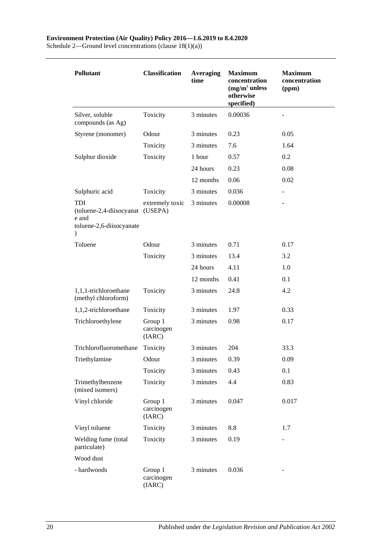Schedule 2—Ground level concentrations (clause 18(1)(a))

| <b>Pollutant</b>                                                                         | <b>Classification</b>           | <b>Averaging</b><br>time | <b>Maximum</b><br>concentration<br>$(mg/m3$ unless<br>otherwise<br>specified) | <b>Maximum</b><br>concentration<br>(ppm) |
|------------------------------------------------------------------------------------------|---------------------------------|--------------------------|-------------------------------------------------------------------------------|------------------------------------------|
| Silver, soluble<br>compounds (as Ag)                                                     | Toxicity                        | 3 minutes                | 0.00036                                                                       |                                          |
| Styrene (monomer)                                                                        | Odour                           | 3 minutes                | 0.23                                                                          | 0.05                                     |
|                                                                                          | Toxicity                        | 3 minutes                | 7.6                                                                           | 1.64                                     |
| Sulphur dioxide                                                                          | Toxicity                        | 1 hour                   | 0.57                                                                          | 0.2                                      |
|                                                                                          |                                 | 24 hours                 | 0.23                                                                          | 0.08                                     |
|                                                                                          |                                 | 12 months                | 0.06                                                                          | 0.02                                     |
| Sulphuric acid                                                                           | Toxicity                        | 3 minutes                | 0.036                                                                         |                                          |
| <b>TDI</b><br>(toluene-2,4-diisocyanat<br>e and<br>toluene-2,6-diisocyanate<br>$\lambda$ | extremely toxic<br>(USEPA)      | 3 minutes                | 0.00008                                                                       |                                          |
| Toluene                                                                                  | Odour                           | 3 minutes                | 0.71                                                                          | 0.17                                     |
|                                                                                          | Toxicity                        | 3 minutes                | 13.4                                                                          | 3.2                                      |
|                                                                                          |                                 | 24 hours                 | 4.11                                                                          | 1.0                                      |
|                                                                                          |                                 | 12 months                | 0.41                                                                          | 0.1                                      |
| 1,1,1-trichloroethane<br>(methyl chloroform)                                             | Toxicity                        | 3 minutes                | 24.8                                                                          | 4.2                                      |
| 1,1,2-trichloroethane                                                                    | Toxicity                        | 3 minutes                | 1.97                                                                          | 0.33                                     |
| Trichloroethylene                                                                        | Group 1<br>carcinogen<br>(IARC) | 3 minutes                | 0.98                                                                          | 0.17                                     |
| Trichlorofluoromethane                                                                   | Toxicity                        | 3 minutes                | 204                                                                           | 33.3                                     |
| Triethylamine                                                                            | Odour                           | 3 minutes                | 0.39                                                                          | 0.09                                     |
|                                                                                          | Toxicity                        | 3 minutes                | 0.43                                                                          | 0.1                                      |
| Trimethylbenzene<br>(mixed isomers)                                                      | Toxicity                        | 3 minutes                | 4.4                                                                           | 0.83                                     |
| Vinyl chloride                                                                           | Group 1<br>carcinogen<br>(IARC) | 3 minutes                | 0.047                                                                         | 0.017                                    |
| Vinyl toluene                                                                            | Toxicity                        | 3 minutes                | 8.8                                                                           | 1.7                                      |
| Welding fume (total<br>particulate)                                                      | Toxicity                        | 3 minutes                | 0.19                                                                          |                                          |
| Wood dust                                                                                |                                 |                          |                                                                               |                                          |
| - hardwoods                                                                              | Group 1<br>carcinogen<br>(IARC) | 3 minutes                | 0.036                                                                         |                                          |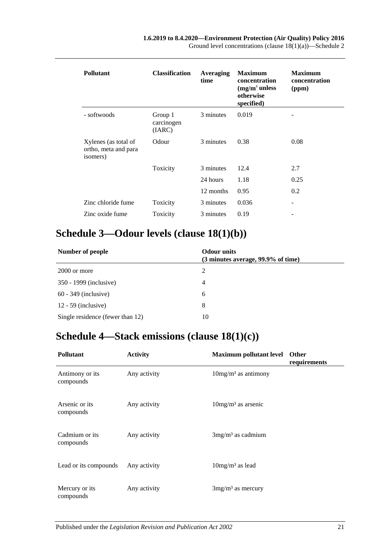| <b>Pollutant</b>                                         | <b>Classification</b>           | <b>Averaging</b><br>time | <b>Maximum</b><br>concentration<br>$(mg/m3$ unless<br>otherwise<br>specified) | <b>Maximum</b><br>concentration<br>(ppm) |
|----------------------------------------------------------|---------------------------------|--------------------------|-------------------------------------------------------------------------------|------------------------------------------|
| - softwoods                                              | Group 1<br>carcinogen<br>(IARC) | 3 minutes                | 0.019                                                                         |                                          |
| Xylenes (as total of<br>ortho, meta and para<br>isomers) | Odour                           | 3 minutes                | 0.38                                                                          | 0.08                                     |
|                                                          | Toxicity                        | 3 minutes                | 12.4                                                                          | 2.7                                      |
|                                                          |                                 | 24 hours                 | 1.18                                                                          | 0.25                                     |
|                                                          |                                 | 12 months                | 0.95                                                                          | 0.2                                      |
| Zinc chloride fume                                       | Toxicity                        | 3 minutes                | 0.036                                                                         | ۰                                        |
| Zinc oxide fume                                          | Toxicity                        | 3 minutes                | 0.19                                                                          |                                          |

# <span id="page-20-0"></span>**Schedule 3—Odour levels (clause [18\(1\)\(b\)\)](#page-11-4)**

| Number of people                 | <b>Odour</b> units<br>(3 minutes average, 99.9% of time) |  |
|----------------------------------|----------------------------------------------------------|--|
| 2000 or more                     | 2                                                        |  |
| 350 - 1999 (inclusive)           | 4                                                        |  |
| $60 - 349$ (inclusive)           | 6                                                        |  |
| $12 - 59$ (inclusive)            | 8                                                        |  |
| Single residence (fewer than 12) | 10                                                       |  |

# <span id="page-20-1"></span>**Schedule 4—Stack emissions (clause [18\(1\)\(c\)\)](#page-12-1)**

| <b>Pollutant</b>             | <b>Activity</b> | <b>Maximum pollutant level</b> | Other<br>requirements |
|------------------------------|-----------------|--------------------------------|-----------------------|
| Antimony or its<br>compounds | Any activity    | $10mg/m3$ as antimony          |                       |
| Arsenic or its<br>compounds  | Any activity    | $10mg/m3$ as arsenic           |                       |
| Cadmium or its<br>compounds  | Any activity    | $3mg/m3$ as cadmium            |                       |
| Lead or its compounds        | Any activity    | $10mg/m3$ as lead              |                       |
| Mercury or its<br>compounds  | Any activity    | $3mg/m3$ as mercury            |                       |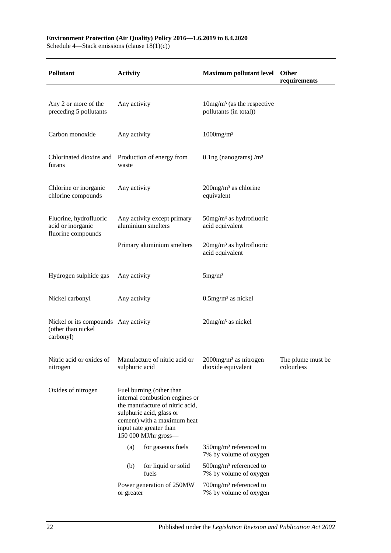#### **Environment Protection (Air Quality) Policy 2016—1.6.2019 to 8.4.2020**

Schedule 4—Stack emissions (clause 18(1)(c))

| <b>Pollutant</b>                                                        | <b>Activity</b>                                                                                                                                                                                             |                                                   | <b>Maximum pollutant level</b>                                  | Other<br>requirements           |
|-------------------------------------------------------------------------|-------------------------------------------------------------------------------------------------------------------------------------------------------------------------------------------------------------|---------------------------------------------------|-----------------------------------------------------------------|---------------------------------|
|                                                                         |                                                                                                                                                                                                             |                                                   |                                                                 |                                 |
| Any 2 or more of the<br>preceding 5 pollutants                          | Any activity                                                                                                                                                                                                |                                                   | $10mg/m3$ (as the respective<br>pollutants (in total))          |                                 |
| Carbon monoxide                                                         | Any activity                                                                                                                                                                                                |                                                   | $1000$ mg/m <sup>3</sup>                                        |                                 |
| Chlorinated dioxins and Production of energy from<br>furans             | waste                                                                                                                                                                                                       |                                                   | 0.1ng (nanograms) $/m3$                                         |                                 |
| Chlorine or inorganic<br>chlorine compounds                             | Any activity                                                                                                                                                                                                |                                                   | $200$ mg/m <sup>3</sup> as chlorine<br>equivalent               |                                 |
| Fluorine, hydrofluoric<br>acid or inorganic<br>fluorine compounds       |                                                                                                                                                                                                             | Any activity except primary<br>aluminium smelters | $50$ mg/m <sup>3</sup> as hydrofluoric<br>acid equivalent       |                                 |
|                                                                         | Primary aluminium smelters                                                                                                                                                                                  |                                                   | $20$ mg/m <sup>3</sup> as hydrofluoric<br>acid equivalent       |                                 |
| Hydrogen sulphide gas                                                   | Any activity                                                                                                                                                                                                |                                                   | 5mg/m <sup>3</sup>                                              |                                 |
| Nickel carbonyl                                                         | Any activity                                                                                                                                                                                                |                                                   | $0.5$ mg/m <sup>3</sup> as nickel                               |                                 |
| Nickel or its compounds Any activity<br>(other than nickel<br>carbonyl) |                                                                                                                                                                                                             |                                                   | $20$ mg/m <sup>3</sup> as nickel                                |                                 |
| Nitric acid or oxides of<br>nitrogen                                    | Manufacture of nitric acid or<br>sulphuric acid                                                                                                                                                             |                                                   | $2000$ mg/m <sup>3</sup> as nitrogen<br>dioxide equivalent      | The plume must be<br>colourless |
| Oxides of nitrogen                                                      | Fuel burning (other than<br>internal combustion engines or<br>the manufacture of nitric acid,<br>sulphuric acid, glass or<br>cement) with a maximum heat<br>input rate greater than<br>150 000 MJ/hr gross- |                                                   |                                                                 |                                 |
|                                                                         | (a)                                                                                                                                                                                                         | for gaseous fuels                                 | $350$ mg/m <sup>3</sup> referenced to<br>7% by volume of oxygen |                                 |
|                                                                         | (b)                                                                                                                                                                                                         | for liquid or solid<br>fuels                      | $500$ mg/m <sup>3</sup> referenced to<br>7% by volume of oxygen |                                 |
|                                                                         | or greater                                                                                                                                                                                                  | Power generation of 250MW                         | 700mg/m <sup>3</sup> referenced to<br>7% by volume of oxygen    |                                 |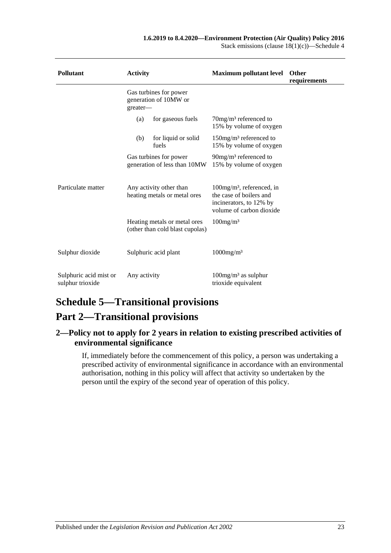| <b>Pollutant</b>                           | <b>Activity</b>                                                 | <b>Maximum pollutant level</b>                                                                                             | <b>Other</b><br>requirements |
|--------------------------------------------|-----------------------------------------------------------------|----------------------------------------------------------------------------------------------------------------------------|------------------------------|
|                                            | Gas turbines for power<br>generation of 10MW or<br>greater-     |                                                                                                                            |                              |
|                                            | for gaseous fuels<br>(a)                                        | $70$ mg/m <sup>3</sup> referenced to<br>15% by volume of oxygen                                                            |                              |
|                                            | for liquid or solid<br>(b)<br>fuels                             | 150mg/m <sup>3</sup> referenced to<br>15% by volume of oxygen                                                              |                              |
|                                            | Gas turbines for power<br>generation of less than 10MW          | $90$ mg/m <sup>3</sup> referenced to<br>15% by volume of oxygen                                                            |                              |
| Particulate matter                         | Any activity other than<br>heating metals or metal ores         | $100$ mg/m <sup>3</sup> , referenced, in<br>the case of boilers and<br>incinerators, to 12% by<br>volume of carbon dioxide |                              |
|                                            | Heating metals or metal ores<br>(other than cold blast cupolas) | $100$ mg/m <sup>3</sup>                                                                                                    |                              |
| Sulphur dioxide                            | Sulphuric acid plant                                            | $1000$ mg/m <sup>3</sup>                                                                                                   |                              |
| Sulphuric acid mist or<br>sulphur trioxide | Any activity                                                    | $100$ mg/m <sup>3</sup> as sulphur<br>trioxide equivalent                                                                  |                              |

# <span id="page-22-0"></span>**Schedule 5—Transitional provisions**

# **Part 2—Transitional provisions**

#### <span id="page-22-1"></span>**2—Policy not to apply for 2 years in relation to existing prescribed activities of environmental significance**

If, immediately before the commencement of this policy, a person was undertaking a prescribed activity of environmental significance in accordance with an environmental authorisation, nothing in this policy will affect that activity so undertaken by the person until the expiry of the second year of operation of this policy.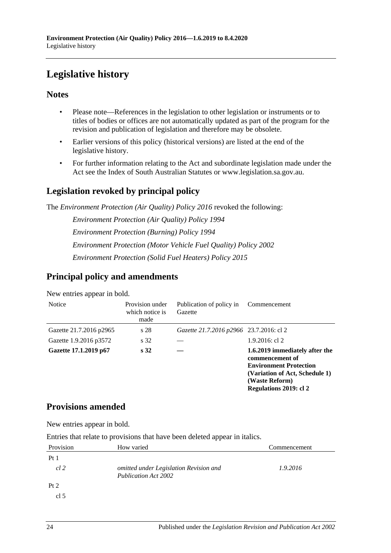# <span id="page-23-0"></span>**Legislative history**

#### **Notes**

- Please note—References in the legislation to other legislation or instruments or to titles of bodies or offices are not automatically updated as part of the program for the revision and publication of legislation and therefore may be obsolete.
- Earlier versions of this policy (historical versions) are listed at the end of the legislative history.
- For further information relating to the Act and subordinate legislation made under the Act see the Index of South Australian Statutes or www.legislation.sa.gov.au.

## **Legislation revoked by principal policy**

The *Environment Protection (Air Quality) Policy 2016* revoked the following:

*Environment Protection (Air Quality) Policy 1994 Environment Protection (Burning) Policy 1994 Environment Protection (Motor Vehicle Fuel Quality) Policy 2002 Environment Protection (Solid Fuel Heaters) Policy 2015*

## **Principal policy and amendments**

New entries appear in bold.

| <b>Notice</b>           | Provision under<br>which notice is<br>made | Publication of policy in<br>Gazette     | Commencement                                                                                                                                                     |
|-------------------------|--------------------------------------------|-----------------------------------------|------------------------------------------------------------------------------------------------------------------------------------------------------------------|
| Gazette 21.7.2016 p2965 | s 28                                       | Gazette 21.7.2016 p2966 23.7.2016: cl 2 |                                                                                                                                                                  |
| Gazette 1.9.2016 p3572  | s 32                                       |                                         | $1.9.2016$ : cl 2                                                                                                                                                |
| Gazette 17.1.2019 p67   | s <sub>32</sub>                            |                                         | 1.6.2019 immediately after the<br>commencement of<br><b>Environment Protection</b><br>(Variation of Act, Schedule 1)<br>(Waste Reform)<br>Regulations 2019: cl 2 |

### **Provisions amended**

New entries appear in bold.

Entries that relate to provisions that have been deleted appear in italics.

| Provision       | How varied                                                            | Commencement |
|-----------------|-----------------------------------------------------------------------|--------------|
| Pt1             |                                                                       |              |
| $cl$ 2          | omitted under Legislation Revision and<br><b>Publication Act 2002</b> | 1.9.2016     |
| Pt 2            |                                                                       |              |
| cl <sub>5</sub> |                                                                       |              |